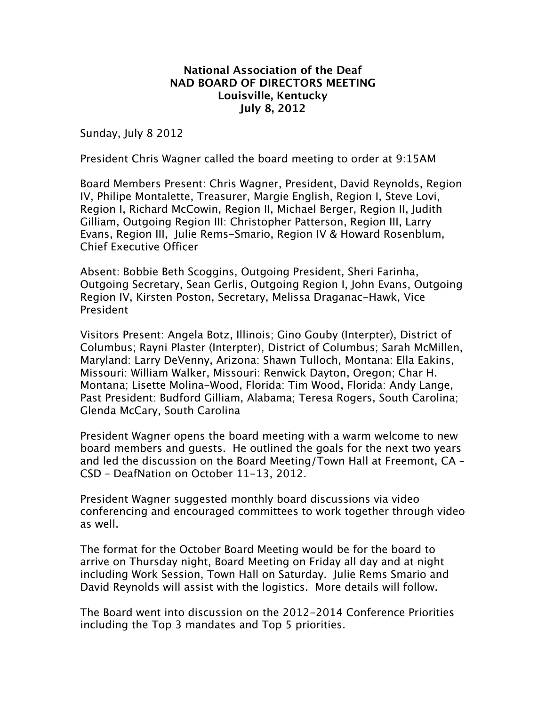## **National Association of the Deaf NAD BOARD OF DIRECTORS MEETING Louisville, Kentucky July 8, 2012**

Sunday, July 8 2012

President Chris Wagner called the board meeting to order at 9:15AM

Board Members Present: Chris Wagner, President, David Reynolds, Region IV, Philipe Montalette, Treasurer, Margie English, Region I, Steve Lovi, Region I, Richard McCowin, Region II, Michael Berger, Region II, Judith Gilliam, Outgoing Region III: Christopher Patterson, Region III, Larry Evans, Region III, Julie Rems-Smario, Region IV & Howard Rosenblum, Chief Executive Officer

Absent: Bobbie Beth Scoggins, Outgoing President, Sheri Farinha, Outgoing Secretary, Sean Gerlis, Outgoing Region I, John Evans, Outgoing Region IV, Kirsten Poston, Secretary, Melissa Draganac-Hawk, Vice President

Visitors Present: Angela Botz, Illinois; Gino Gouby (Interpter), District of Columbus; Rayni Plaster (Interpter), District of Columbus; Sarah McMillen, Maryland: Larry DeVenny, Arizona: Shawn Tulloch, Montana: Ella Eakins, Missouri: William Walker, Missouri: Renwick Dayton, Oregon; Char H. Montana; Lisette Molina-Wood, Florida: Tim Wood, Florida: Andy Lange, Past President: Budford Gilliam, Alabama; Teresa Rogers, South Carolina; Glenda McCary, South Carolina

President Wagner opens the board meeting with a warm welcome to new board members and guests. He outlined the goals for the next two years and led the discussion on the Board Meeting/Town Hall at Freemont, CA – CSD – DeafNation on October 11-13, 2012.

President Wagner suggested monthly board discussions via video conferencing and encouraged committees to work together through video as well.

The format for the October Board Meeting would be for the board to arrive on Thursday night, Board Meeting on Friday all day and at night including Work Session, Town Hall on Saturday. Julie Rems Smario and David Reynolds will assist with the logistics. More details will follow.

The Board went into discussion on the 2012-2014 Conference Priorities including the Top 3 mandates and Top 5 priorities.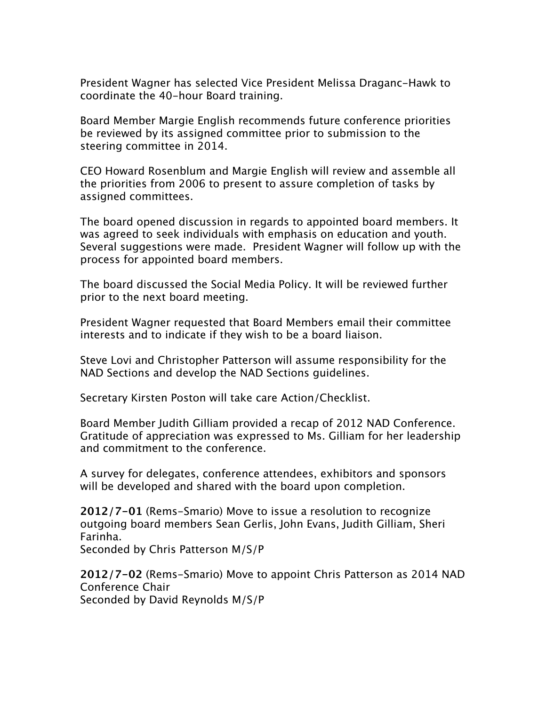President Wagner has selected Vice President Melissa Draganc-Hawk to coordinate the 40-hour Board training.

Board Member Margie English recommends future conference priorities be reviewed by its assigned committee prior to submission to the steering committee in 2014.

CEO Howard Rosenblum and Margie English will review and assemble all the priorities from 2006 to present to assure completion of tasks by assigned committees.

The board opened discussion in regards to appointed board members. It was agreed to seek individuals with emphasis on education and youth. Several suggestions were made. President Wagner will follow up with the process for appointed board members.

The board discussed the Social Media Policy. It will be reviewed further prior to the next board meeting.

President Wagner requested that Board Members email their committee interests and to indicate if they wish to be a board liaison.

Steve Lovi and Christopher Patterson will assume responsibility for the NAD Sections and develop the NAD Sections guidelines.

Secretary Kirsten Poston will take care Action/Checklist.

Board Member Judith Gilliam provided a recap of 2012 NAD Conference. Gratitude of appreciation was expressed to Ms. Gilliam for her leadership and commitment to the conference.

A survey for delegates, conference attendees, exhibitors and sponsors will be developed and shared with the board upon completion.

**2012/7-01** (Rems-Smario) Move to issue a resolution to recognize outgoing board members Sean Gerlis, John Evans, Judith Gilliam, Sheri Farinha. Seconded by Chris Patterson M/S/P

**2012/7-02** (Rems-Smario) Move to appoint Chris Patterson as 2014 NAD Conference Chair Seconded by David Reynolds M/S/P